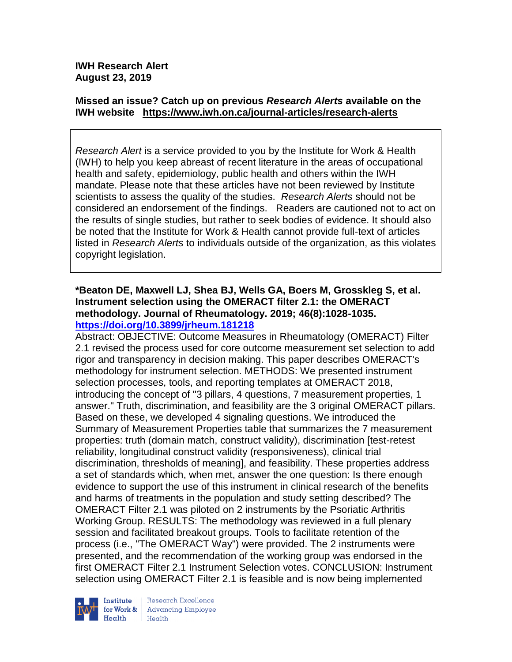# **Missed an issue? Catch up on previous** *Research Alerts* **available on the [IWH website](http://www.iwh.on.ca/research-alerts) <https://www.iwh.on.ca/journal-articles/research-alerts>**

*Research Alert* is a service provided to you by the Institute for Work & Health (IWH) to help you keep abreast of recent literature in the areas of occupational health and safety, epidemiology, public health and others within the IWH mandate. Please note that these articles have not been reviewed by Institute scientists to assess the quality of the studies. *Research Alerts* should not be considered an endorsement of the findings. Readers are cautioned not to act on the results of single studies, but rather to seek bodies of evidence. It should also be noted that the Institute for Work & Health cannot provide full-text of articles listed in *Research Alerts* to individuals outside of the organization, as this violates copyright legislation.

## **\*Beaton DE, Maxwell LJ, Shea BJ, Wells GA, Boers M, Grosskleg S, et al. Instrument selection using the OMERACT filter 2.1: the OMERACT methodology. Journal of Rheumatology. 2019; 46(8):1028-1035. <https://doi.org/10.3899/jrheum.181218>**

Abstract: OBJECTIVE: Outcome Measures in Rheumatology (OMERACT) Filter 2.1 revised the process used for core outcome measurement set selection to add rigor and transparency in decision making. This paper describes OMERACT's methodology for instrument selection. METHODS: We presented instrument selection processes, tools, and reporting templates at OMERACT 2018, introducing the concept of "3 pillars, 4 questions, 7 measurement properties, 1 answer." Truth, discrimination, and feasibility are the 3 original OMERACT pillars. Based on these, we developed 4 signaling questions. We introduced the Summary of Measurement Properties table that summarizes the 7 measurement properties: truth (domain match, construct validity), discrimination [test-retest reliability, longitudinal construct validity (responsiveness), clinical trial discrimination, thresholds of meaning], and feasibility. These properties address a set of standards which, when met, answer the one question: Is there enough evidence to support the use of this instrument in clinical research of the benefits and harms of treatments in the population and study setting described? The OMERACT Filter 2.1 was piloted on 2 instruments by the Psoriatic Arthritis Working Group. RESULTS: The methodology was reviewed in a full plenary session and facilitated breakout groups. Tools to facilitate retention of the process (i.e., "The OMERACT Way") were provided. The 2 instruments were presented, and the recommendation of the working group was endorsed in the first OMERACT Filter 2.1 Instrument Selection votes. CONCLUSION: Instrument selection using OMERACT Filter 2.1 is feasible and is now being implemented



Research Excellence **Advancing Employee** Health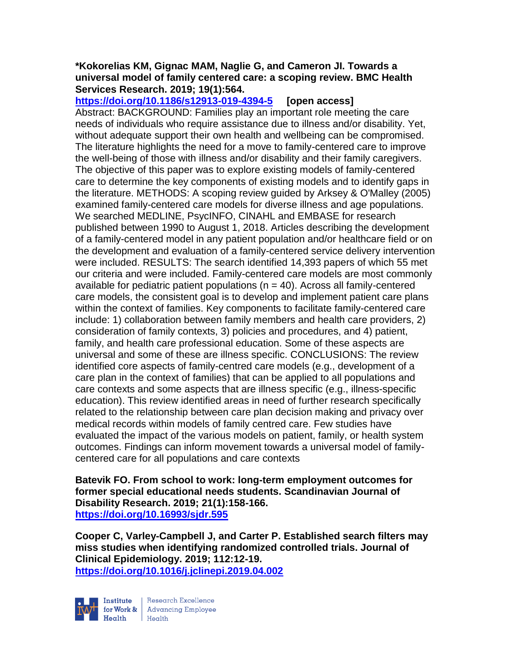### **\*Kokorelias KM, Gignac MAM, Naglie G, and Cameron JI. Towards a universal model of family centered care: a scoping review. BMC Health Services Research. 2019; 19(1):564.**

**<https://doi.org/10.1186/s12913-019-4394-5> [open access]** Abstract: BACKGROUND: Families play an important role meeting the care needs of individuals who require assistance due to illness and/or disability. Yet, without adequate support their own health and wellbeing can be compromised. The literature highlights the need for a move to family-centered care to improve the well-being of those with illness and/or disability and their family caregivers. The objective of this paper was to explore existing models of family-centered care to determine the key components of existing models and to identify gaps in the literature. METHODS: A scoping review guided by Arksey & O'Malley (2005) examined family-centered care models for diverse illness and age populations. We searched MEDLINE, PsycINFO, CINAHL and EMBASE for research published between 1990 to August 1, 2018. Articles describing the development of a family-centered model in any patient population and/or healthcare field or on the development and evaluation of a family-centered service delivery intervention were included. RESULTS: The search identified 14,393 papers of which 55 met our criteria and were included. Family-centered care models are most commonly available for pediatric patient populations ( $n = 40$ ). Across all family-centered care models, the consistent goal is to develop and implement patient care plans within the context of families. Key components to facilitate family-centered care include: 1) collaboration between family members and health care providers, 2) consideration of family contexts, 3) policies and procedures, and 4) patient, family, and health care professional education. Some of these aspects are universal and some of these are illness specific. CONCLUSIONS: The review identified core aspects of family-centred care models (e.g., development of a care plan in the context of families) that can be applied to all populations and care contexts and some aspects that are illness specific (e.g., illness-specific education). This review identified areas in need of further research specifically related to the relationship between care plan decision making and privacy over medical records within models of family centred care. Few studies have evaluated the impact of the various models on patient, family, or health system outcomes. Findings can inform movement towards a universal model of familycentered care for all populations and care contexts

**Batevik FO. From school to work: long-term employment outcomes for former special educational needs students. Scandinavian Journal of Disability Research. 2019; 21(1):158-166. <https://doi.org/10.16993/sjdr.595>** 

**Cooper C, Varley-Campbell J, and Carter P. Established search filters may miss studies when identifying randomized controlled trials. Journal of Clinical Epidemiology. 2019; 112:12-19. <https://doi.org/10.1016/j.jclinepi.2019.04.002>** 



Research Excellence for Work & | Advancing Employee Health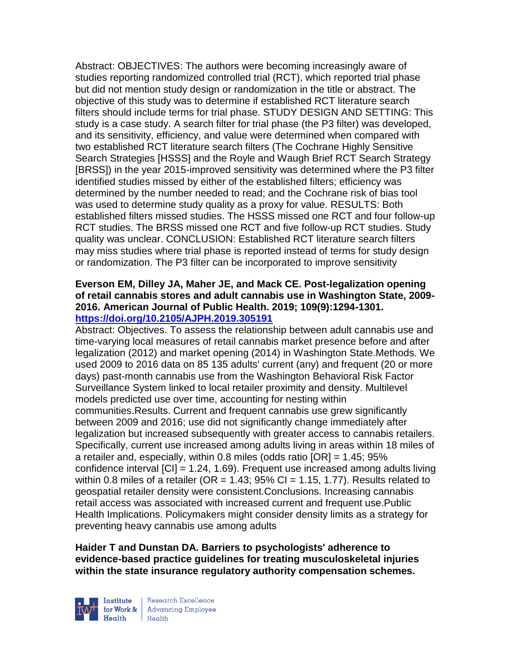Abstract: OBJECTIVES: The authors were becoming increasingly aware of studies reporting randomized controlled trial (RCT), which reported trial phase but did not mention study design or randomization in the title or abstract. The objective of this study was to determine if established RCT literature search filters should include terms for trial phase. STUDY DESIGN AND SETTING: This study is a case study. A search filter for trial phase (the P3 filter) was developed, and its sensitivity, efficiency, and value were determined when compared with two established RCT literature search filters (The Cochrane Highly Sensitive Search Strategies [HSSS] and the Royle and Waugh Brief RCT Search Strategy [BRSS]) in the year 2015-improved sensitivity was determined where the P3 filter identified studies missed by either of the established filters; efficiency was determined by the number needed to read; and the Cochrane risk of bias tool was used to determine study quality as a proxy for value. RESULTS: Both established filters missed studies. The HSSS missed one RCT and four follow-up RCT studies. The BRSS missed one RCT and five follow-up RCT studies. Study quality was unclear. CONCLUSION: Established RCT literature search filters may miss studies where trial phase is reported instead of terms for study design or randomization. The P3 filter can be incorporated to improve sensitivity

### **Everson EM, Dilley JA, Maher JE, and Mack CE. Post-legalization opening of retail cannabis stores and adult cannabis use in Washington State, 2009- 2016. American Journal of Public Health. 2019; 109(9):1294-1301. <https://doi.org/10.2105/AJPH.2019.305191>**

Abstract: Objectives. To assess the relationship between adult cannabis use and time-varying local measures of retail cannabis market presence before and after legalization (2012) and market opening (2014) in Washington State.Methods. We used 2009 to 2016 data on 85 135 adults' current (any) and frequent (20 or more days) past-month cannabis use from the Washington Behavioral Risk Factor Surveillance System linked to local retailer proximity and density. Multilevel models predicted use over time, accounting for nesting within communities.Results. Current and frequent cannabis use grew significantly between 2009 and 2016; use did not significantly change immediately after legalization but increased subsequently with greater access to cannabis retailers. Specifically, current use increased among adults living in areas within 18 miles of a retailer and, especially, within 0.8 miles (odds ratio [OR] = 1.45; 95% confidence interval [CI] = 1.24, 1.69). Frequent use increased among adults living within 0.8 miles of a retailer (OR =  $1.43$ ; 95% CI =  $1.15$ , 1.77). Results related to geospatial retailer density were consistent.Conclusions. Increasing cannabis retail access was associated with increased current and frequent use.Public Health Implications. Policymakers might consider density limits as a strategy for preventing heavy cannabis use among adults

**Haider T and Dunstan DA. Barriers to psychologists' adherence to evidence-based practice guidelines for treating musculoskeletal injuries within the state insurance regulatory authority compensation schemes.** 



Research Excellence for Work & | Advancing Employee Health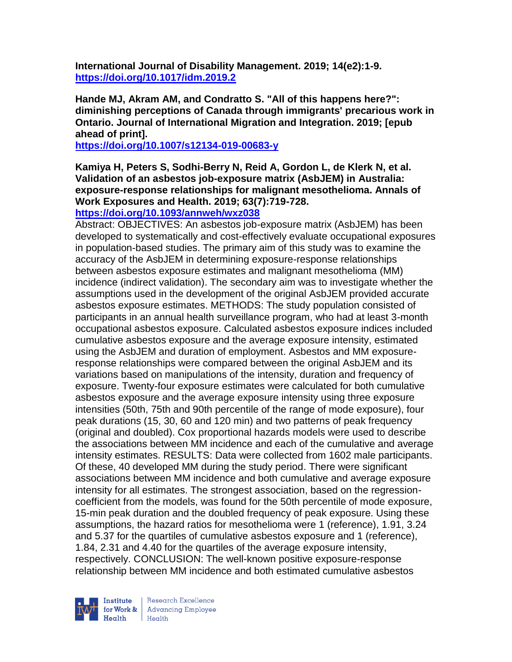**International Journal of Disability Management. 2019; 14(e2):1-9. <https://doi.org/10.1017/idm.2019.2>** 

**Hande MJ, Akram AM, and Condratto S. "All of this happens here?": diminishing perceptions of Canada through immigrants' precarious work in Ontario. Journal of International Migration and Integration. 2019; [epub ahead of print].**

**<https://doi.org/10.1007/s12134-019-00683-y>** 

**Kamiya H, Peters S, Sodhi-Berry N, Reid A, Gordon L, de Klerk N, et al. Validation of an asbestos job-exposure matrix (AsbJEM) in Australia: exposure-response relationships for malignant mesothelioma. Annals of Work Exposures and Health. 2019; 63(7):719-728.** 

**<https://doi.org/10.1093/annweh/wxz038>** 

Abstract: OBJECTIVES: An asbestos job-exposure matrix (AsbJEM) has been developed to systematically and cost-effectively evaluate occupational exposures in population-based studies. The primary aim of this study was to examine the accuracy of the AsbJEM in determining exposure-response relationships between asbestos exposure estimates and malignant mesothelioma (MM) incidence (indirect validation). The secondary aim was to investigate whether the assumptions used in the development of the original AsbJEM provided accurate asbestos exposure estimates. METHODS: The study population consisted of participants in an annual health surveillance program, who had at least 3-month occupational asbestos exposure. Calculated asbestos exposure indices included cumulative asbestos exposure and the average exposure intensity, estimated using the AsbJEM and duration of employment. Asbestos and MM exposureresponse relationships were compared between the original AsbJEM and its variations based on manipulations of the intensity, duration and frequency of exposure. Twenty-four exposure estimates were calculated for both cumulative asbestos exposure and the average exposure intensity using three exposure intensities (50th, 75th and 90th percentile of the range of mode exposure), four peak durations (15, 30, 60 and 120 min) and two patterns of peak frequency (original and doubled). Cox proportional hazards models were used to describe the associations between MM incidence and each of the cumulative and average intensity estimates. RESULTS: Data were collected from 1602 male participants. Of these, 40 developed MM during the study period. There were significant associations between MM incidence and both cumulative and average exposure intensity for all estimates. The strongest association, based on the regressioncoefficient from the models, was found for the 50th percentile of mode exposure, 15-min peak duration and the doubled frequency of peak exposure. Using these assumptions, the hazard ratios for mesothelioma were 1 (reference), 1.91, 3.24 and 5.37 for the quartiles of cumulative asbestos exposure and 1 (reference), 1.84, 2.31 and 4.40 for the quartiles of the average exposure intensity, respectively. CONCLUSION: The well-known positive exposure-response relationship between MM incidence and both estimated cumulative asbestos



Research Excellence for Work & | Advancing Employee Health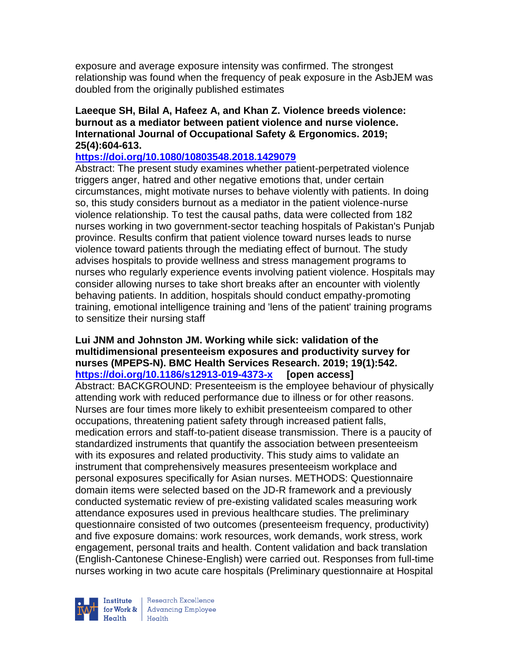exposure and average exposure intensity was confirmed. The strongest relationship was found when the frequency of peak exposure in the AsbJEM was doubled from the originally published estimates

#### **Laeeque SH, Bilal A, Hafeez A, and Khan Z. Violence breeds violence: burnout as a mediator between patient violence and nurse violence. International Journal of Occupational Safety & Ergonomics. 2019; 25(4):604-613.**

#### **<https://doi.org/10.1080/10803548.2018.1429079>**

Abstract: The present study examines whether patient-perpetrated violence triggers anger, hatred and other negative emotions that, under certain circumstances, might motivate nurses to behave violently with patients. In doing so, this study considers burnout as a mediator in the patient violence-nurse violence relationship. To test the causal paths, data were collected from 182 nurses working in two government-sector teaching hospitals of Pakistan's Punjab province. Results confirm that patient violence toward nurses leads to nurse violence toward patients through the mediating effect of burnout. The study advises hospitals to provide wellness and stress management programs to nurses who regularly experience events involving patient violence. Hospitals may consider allowing nurses to take short breaks after an encounter with violently behaving patients. In addition, hospitals should conduct empathy-promoting training, emotional intelligence training and 'lens of the patient' training programs to sensitize their nursing staff

#### **Lui JNM and Johnston JM. Working while sick: validation of the multidimensional presenteeism exposures and productivity survey for nurses (MPEPS-N). BMC Health Services Research. 2019; 19(1):542. <https://doi.org/10.1186/s12913-019-4373-x> [open access]**

Abstract: BACKGROUND: Presenteeism is the employee behaviour of physically attending work with reduced performance due to illness or for other reasons. Nurses are four times more likely to exhibit presenteeism compared to other occupations, threatening patient safety through increased patient falls, medication errors and staff-to-patient disease transmission. There is a paucity of standardized instruments that quantify the association between presenteeism with its exposures and related productivity. This study aims to validate an instrument that comprehensively measures presenteeism workplace and personal exposures specifically for Asian nurses. METHODS: Questionnaire domain items were selected based on the JD-R framework and a previously conducted systematic review of pre-existing validated scales measuring work attendance exposures used in previous healthcare studies. The preliminary questionnaire consisted of two outcomes (presenteeism frequency, productivity) and five exposure domains: work resources, work demands, work stress, work engagement, personal traits and health. Content validation and back translation (English-Cantonese Chinese-English) were carried out. Responses from full-time nurses working in two acute care hospitals (Preliminary questionnaire at Hospital

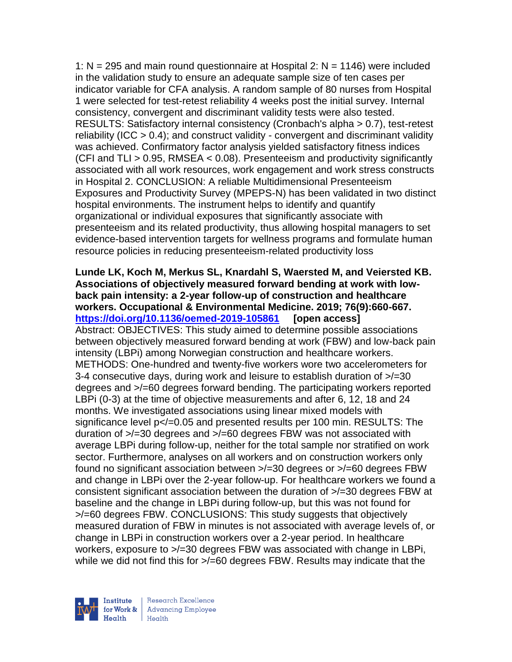1:  $N = 295$  and main round questionnaire at Hospital 2:  $N = 1146$ ) were included in the validation study to ensure an adequate sample size of ten cases per indicator variable for CFA analysis. A random sample of 80 nurses from Hospital 1 were selected for test-retest reliability 4 weeks post the initial survey. Internal consistency, convergent and discriminant validity tests were also tested. RESULTS: Satisfactory internal consistency (Cronbach's alpha > 0.7), test-retest reliability (ICC > 0.4); and construct validity - convergent and discriminant validity was achieved. Confirmatory factor analysis yielded satisfactory fitness indices (CFI and TLI > 0.95, RMSEA < 0.08). Presenteeism and productivity significantly associated with all work resources, work engagement and work stress constructs in Hospital 2. CONCLUSION: A reliable Multidimensional Presenteeism Exposures and Productivity Survey (MPEPS-N) has been validated in two distinct hospital environments. The instrument helps to identify and quantify organizational or individual exposures that significantly associate with presenteeism and its related productivity, thus allowing hospital managers to set evidence-based intervention targets for wellness programs and formulate human resource policies in reducing presenteeism-related productivity loss

**Lunde LK, Koch M, Merkus SL, Knardahl S, Waersted M, and Veiersted KB. Associations of objectively measured forward bending at work with lowback pain intensity: a 2-year follow-up of construction and healthcare workers. Occupational & Environmental Medicine. 2019; 76(9):660-667. <https://doi.org/10.1136/oemed-2019-105861> [open access]** Abstract: OBJECTIVES: This study aimed to determine possible associations between objectively measured forward bending at work (FBW) and low-back pain intensity (LBPi) among Norwegian construction and healthcare workers. METHODS: One-hundred and twenty-five workers wore two accelerometers for 3-4 consecutive days, during work and leisure to establish duration of >/=30 degrees and >/=60 degrees forward bending. The participating workers reported LBPi (0-3) at the time of objective measurements and after 6, 12, 18 and 24 months. We investigated associations using linear mixed models with significance level  $p$ </=0.05 and presented results per 100 min. RESULTS: The duration of >/=30 degrees and >/=60 degrees FBW was not associated with average LBPi during follow-up, neither for the total sample nor stratified on work sector. Furthermore, analyses on all workers and on construction workers only found no significant association between >/=30 degrees or >/=60 degrees FBW and change in LBPi over the 2-year follow-up. For healthcare workers we found a consistent significant association between the duration of >/=30 degrees FBW at baseline and the change in LBPi during follow-up, but this was not found for >/=60 degrees FBW. CONCLUSIONS: This study suggests that objectively measured duration of FBW in minutes is not associated with average levels of, or change in LBPi in construction workers over a 2-year period. In healthcare workers, exposure to  $\ge$ /=30 degrees FBW was associated with change in LBPi, while we did not find this for  $\ge$ /=60 degrees FBW. Results may indicate that the

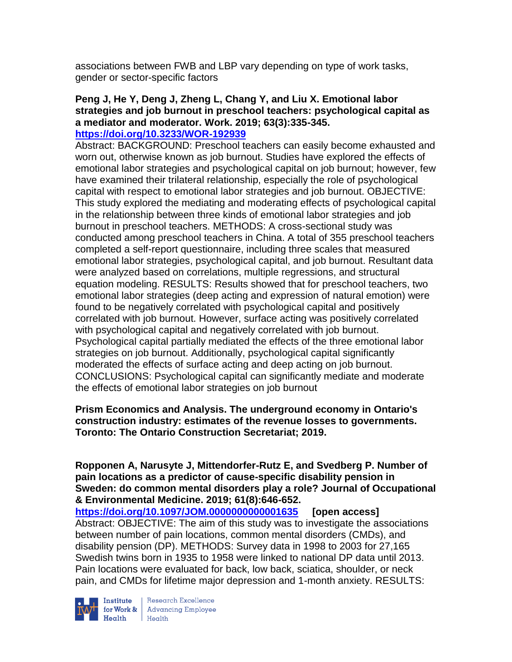associations between FWB and LBP vary depending on type of work tasks, gender or sector-specific factors

#### **Peng J, He Y, Deng J, Zheng L, Chang Y, and Liu X. Emotional labor strategies and job burnout in preschool teachers: psychological capital as a mediator and moderator. Work. 2019; 63(3):335-345. <https://doi.org/10.3233/WOR-192939>**

Abstract: BACKGROUND: Preschool teachers can easily become exhausted and worn out, otherwise known as job burnout. Studies have explored the effects of emotional labor strategies and psychological capital on job burnout; however, few have examined their trilateral relationship, especially the role of psychological capital with respect to emotional labor strategies and job burnout. OBJECTIVE: This study explored the mediating and moderating effects of psychological capital in the relationship between three kinds of emotional labor strategies and job burnout in preschool teachers. METHODS: A cross-sectional study was conducted among preschool teachers in China. A total of 355 preschool teachers completed a self-report questionnaire, including three scales that measured emotional labor strategies, psychological capital, and job burnout. Resultant data were analyzed based on correlations, multiple regressions, and structural equation modeling. RESULTS: Results showed that for preschool teachers, two emotional labor strategies (deep acting and expression of natural emotion) were found to be negatively correlated with psychological capital and positively correlated with job burnout. However, surface acting was positively correlated with psychological capital and negatively correlated with job burnout. Psychological capital partially mediated the effects of the three emotional labor strategies on job burnout. Additionally, psychological capital significantly moderated the effects of surface acting and deep acting on job burnout. CONCLUSIONS: Psychological capital can significantly mediate and moderate the effects of emotional labor strategies on job burnout

## **Prism Economics and Analysis. The underground economy in Ontario's construction industry: estimates of the revenue losses to governments. Toronto: The Ontario Construction Secretariat; 2019.**

**Ropponen A, Narusyte J, Mittendorfer-Rutz E, and Svedberg P. Number of pain locations as a predictor of cause-specific disability pension in Sweden: do common mental disorders play a role? Journal of Occupational & Environmental Medicine. 2019; 61(8):646-652.** 

**<https://doi.org/10.1097/JOM.0000000000001635> [open access]** Abstract: OBJECTIVE: The aim of this study was to investigate the associations between number of pain locations, common mental disorders (CMDs), and disability pension (DP). METHODS: Survey data in 1998 to 2003 for 27,165 Swedish twins born in 1935 to 1958 were linked to national DP data until 2013. Pain locations were evaluated for back, low back, sciatica, shoulder, or neck pain, and CMDs for lifetime major depression and 1-month anxiety. RESULTS:



**Institute** Research Excellence<br> **for Work &** Advancing Employee<br> **Health** Health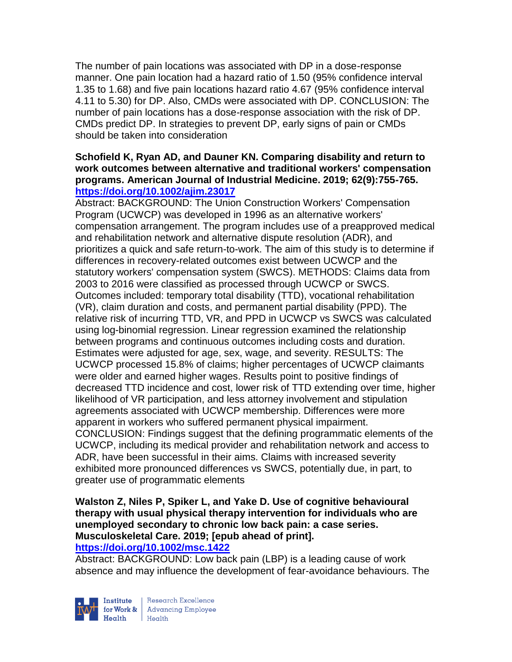The number of pain locations was associated with DP in a dose-response manner. One pain location had a hazard ratio of 1.50 (95% confidence interval 1.35 to 1.68) and five pain locations hazard ratio 4.67 (95% confidence interval 4.11 to 5.30) for DP. Also, CMDs were associated with DP. CONCLUSION: The number of pain locations has a dose-response association with the risk of DP. CMDs predict DP. In strategies to prevent DP, early signs of pain or CMDs should be taken into consideration

#### **Schofield K, Ryan AD, and Dauner KN. Comparing disability and return to work outcomes between alternative and traditional workers' compensation programs. American Journal of Industrial Medicine. 2019; 62(9):755-765. <https://doi.org/10.1002/ajim.23017>**

Abstract: BACKGROUND: The Union Construction Workers' Compensation Program (UCWCP) was developed in 1996 as an alternative workers' compensation arrangement. The program includes use of a preapproved medical and rehabilitation network and alternative dispute resolution (ADR), and prioritizes a quick and safe return-to-work. The aim of this study is to determine if differences in recovery-related outcomes exist between UCWCP and the statutory workers' compensation system (SWCS). METHODS: Claims data from 2003 to 2016 were classified as processed through UCWCP or SWCS. Outcomes included: temporary total disability (TTD), vocational rehabilitation (VR), claim duration and costs, and permanent partial disability (PPD). The relative risk of incurring TTD, VR, and PPD in UCWCP vs SWCS was calculated using log-binomial regression. Linear regression examined the relationship between programs and continuous outcomes including costs and duration. Estimates were adjusted for age, sex, wage, and severity. RESULTS: The UCWCP processed 15.8% of claims; higher percentages of UCWCP claimants were older and earned higher wages. Results point to positive findings of decreased TTD incidence and cost, lower risk of TTD extending over time, higher likelihood of VR participation, and less attorney involvement and stipulation agreements associated with UCWCP membership. Differences were more apparent in workers who suffered permanent physical impairment. CONCLUSION: Findings suggest that the defining programmatic elements of the UCWCP, including its medical provider and rehabilitation network and access to ADR, have been successful in their aims. Claims with increased severity exhibited more pronounced differences vs SWCS, potentially due, in part, to greater use of programmatic elements

#### **Walston Z, Niles P, Spiker L, and Yake D. Use of cognitive behavioural therapy with usual physical therapy intervention for individuals who are unemployed secondary to chronic low back pain: a case series. Musculoskeletal Care. 2019; [epub ahead of print]. <https://doi.org/10.1002/msc.1422>**

Abstract: BACKGROUND: Low back pain (LBP) is a leading cause of work absence and may influence the development of fear-avoidance behaviours. The



Research Excellence for Work & | Advancing Employee  $Heath$